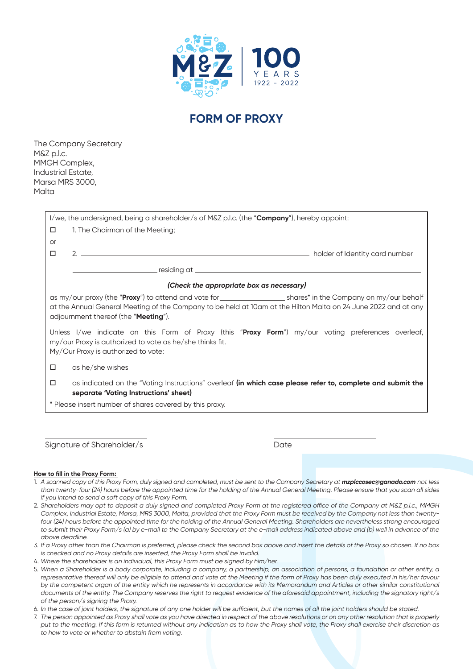

## **FORM OF PROXY**

The Company Secretary M&Z p.l.c. MMGH Complex, Industrial Estate, Marsa MRS 3000, Malta

| I/we, the undersigned, being a shareholder/s of M&Z p.l.c. (the " <b>Company</b> "), hereby appoint:                                                                                                  |                                                                                                                                                     |  |  |  |  |
|-------------------------------------------------------------------------------------------------------------------------------------------------------------------------------------------------------|-----------------------------------------------------------------------------------------------------------------------------------------------------|--|--|--|--|
| □                                                                                                                                                                                                     | 1. The Chairman of the Meeting;                                                                                                                     |  |  |  |  |
| <b>or</b>                                                                                                                                                                                             |                                                                                                                                                     |  |  |  |  |
| □                                                                                                                                                                                                     |                                                                                                                                                     |  |  |  |  |
|                                                                                                                                                                                                       |                                                                                                                                                     |  |  |  |  |
| (Check the appropriate box as necessary)                                                                                                                                                              |                                                                                                                                                     |  |  |  |  |
| at the Annual General Meeting of the Company to be held at 10am at the Hilton Malta on 24 June 2022 and at any<br>adjournment thereof (the "Meeting").                                                |                                                                                                                                                     |  |  |  |  |
| Unless I/we indicate on this Form of Proxy (this "Proxy Form") my/our voting preferences overleaf,<br>my/our Proxy is authorized to vote as he/she thinks fit.<br>My/Our Proxy is authorized to vote: |                                                                                                                                                     |  |  |  |  |
| $\Box$                                                                                                                                                                                                | as he/she wishes                                                                                                                                    |  |  |  |  |
| □                                                                                                                                                                                                     | as indicated on the "Voting Instructions" overleaf (in which case please refer to, complete and submit the<br>separate 'Voting Instructions' sheet) |  |  |  |  |
| * Please insert number of shares covered by this proxy.                                                                                                                                               |                                                                                                                                                     |  |  |  |  |
|                                                                                                                                                                                                       |                                                                                                                                                     |  |  |  |  |

Signature of Shareholder/s Date

## **How to fill in the Proxy Form:**

- 1. A scanned copy of this Proxy Form, duly signed and completed, must be sent to the Company Secretary at **mzplccosec@ganado.com** not less than twenty-four (24) hours before the appointed time for the holding of the Annual General Meeting. Please ensure that you scan all sides if you intend to send a soft copy of this Proxy Form.
- 2. Shareholders may opt to deposit a duly signed and completed Proxy Form at the registered office of the Company at M&Z p.l.c., MMGH Complex, Industrial Estate, Marsa, MRS 3000, Malta, provided that the Proxy Form must be received by the Company not less than twentyfour (24) hours before the appointed time for the holding of the Annual General Meeting. Shareholders are nevertheless strong encouraged to submit their Proxy Form/s (a) by e-mail to the Company Secretary at the e-mail address indicated above and (b) well in advance of the above deadline.
- 3. If a Proxy other than the Chairman is preferred, please check the second box above and insert the details of the Proxy so chosen. If no box is checked and no Proxy details are inserted, the Proxy Form shall be invalid.
- 4. Where the shareholder is an individual, this Proxy Form must be signed by him/her.
- 5. When a Shareholder is a body corporate, including a company, a partnership, an association of persons, a foundation or other entity, a representative thereof will only be eligible to attend and vote at the Meeting if the form of Proxy has been duly executed in his/her favour by the competent organ of the entity which he represents in accordance with its Memorandum and Articles or other similar constitutional documents of the entity. The Company reserves the right to request evidence of the aforesaid appointment, including the signatory right/s of the person/s signing the Proxy.
- 6. In the case of joint holders, the signature of any one holder will be sufficient, but the names of all the joint holders should be stated.
- 7. The person appointed as Proxy shall vote as you have directed in respect of the above resolutions or on any other resolution that is properly put to the meeting. If this form is returned without any indication as to how the Proxy shall vote, the Proxy shall exercise their discretion as to how to vote or whether to abstain from voting.